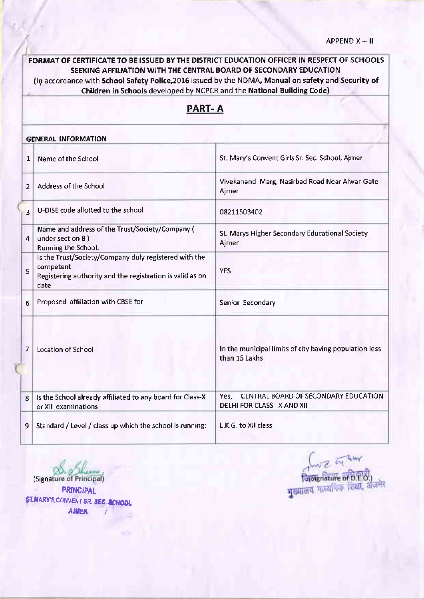# FORMAT OF CERTIFICATE TO BE ISSUED BY THE DISTRICT EDUCATION OFFICER IN RESPECT OF SCHOOTS SEEKING AFFILIATION WITH THE CENTRAL BOARD OF SECONDARY EDUCATION (In accordance with School Safety Police, 2016 issued by the NDMA, Manual on safety and Security of Children in Schools developed by NCPCR and the National Building Code) PART- A GENERAL INFORMATION 1 Name of the School St. Mary's Convent Girls Sr. Sec. School, Ajmer 2 Address of the School Vivekanand Marg, Nasirbad Road Near Alwar Gate<br>Ajmer U-DISE code allotted to the school 08211503402  $\overline{3}$ Name and address of the Trust/Society/Company ( St. Marys Higher Secondary Educational Society under section 8 ) 4 Ajmer Running the School. Is the Trust/Society/Company duly registered with the competent YES 5 Registering authority and the registration isvalid as on date 6 Proposed affiliation with CBSE for Secondary 7 Location of School In the municipal limits of city having population less than 15 Lakhs Yes, CENTRAL BOARD OF SECONDARY EDUCATION 8 | Is the School already affiliated to any board for Class-X DELHI FOR CLASS X AND XII or Xll examinations 9 Standard / Level / class up which the school is running: | L.K.G. to XII class

(Signature of Principal) PRINCIPAL \$T.MARY'S CONVENT SR. SEG. SCHOOL **AJUER** 

नियम सियानिक शिक्षा,<br>पुरुषालय नाव्यनिक शिक्षा,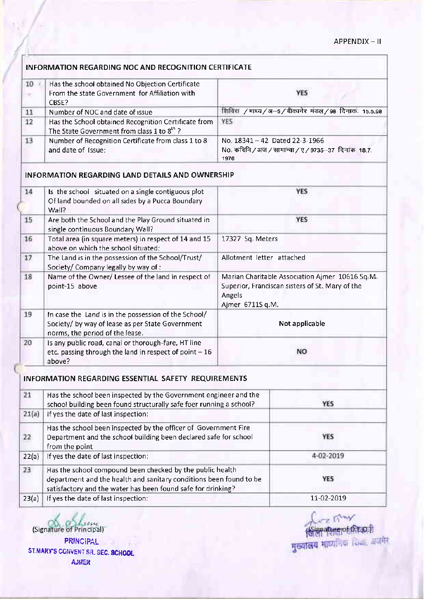## INFORMATION REGARDING NOC AND RECOGNITION CERTIFICATE

| 10 | Has the school obtained No Objection Certificate<br>From the state Government for Affiliation with             | <b>YES</b>                                                                                      |
|----|----------------------------------------------------------------------------------------------------------------|-------------------------------------------------------------------------------------------------|
|    | CBSE?                                                                                                          |                                                                                                 |
| 11 | Number of NOC and date of issue                                                                                | शिविरा /माघ्य/अ-5/बीकानेर मंडल/98 दिनाकः 15.5.98                                                |
| 12 | Has the School obtained Recognition Certificate from<br>The State Government from class 1 to 8 <sup>th</sup> ? | YES                                                                                             |
| 13 | Number of Recognition Certificate from class 1 to 8<br>and date of Issue:                                      | No. $18341 - 42$ Dated 22-3-1966<br>No. कविनि / अज / सामान्या / ए / 9735-37 दिनांक 18.7<br>1970 |

#### INFORMATION REGARDING LAND OETAILS AND OWNERSHIP

| 14 | Is the school situated on a single contiguous plot<br>Of land bounded on all sides by a Pucca Boundary<br>Wall?                             | YES                                                                                                                              |
|----|---------------------------------------------------------------------------------------------------------------------------------------------|----------------------------------------------------------------------------------------------------------------------------------|
| 15 | Are both the School and the Play Ground situated in<br>single continuous Boundary Wall?                                                     | <b>YES</b>                                                                                                                       |
| 16 | Total area (in square meters) in respect of 14 and 15<br>above on which the school situated:                                                | 17327 Sq Meters                                                                                                                  |
| 17 | The Land is in the possession of the School/Trust/<br>Society/ Company legally by way of :                                                  | Allotment letter attached                                                                                                        |
| 18 | Name of the Owner/ Lessee of the land in respect of<br>point-15 above                                                                       | Marian Charitable Association Ajmer 10616 Sq.M.<br>Superior, Franciscan sisters of St. Mary of the<br>Angels<br>Ajmer 6711S q.M. |
| 19 | In case the Land is in the possession of the School/<br>Society/ by way of lease as per State Government<br>norms, the period of the lease. | Not applicable                                                                                                                   |
| 20 | Is any public road, canal or thorough-fare, HT line<br>etc. passing through the land in respect of point $-16$<br>above?                    | NΟ                                                                                                                               |

## INFORMATION REGARDING ESSENTIAL SAFETY REqUIREMENTS

| 21    | Has the school been inspected by the Government engineer and the<br>school building been found structurally safe foer running a school?                                                         | YES        |  |
|-------|-------------------------------------------------------------------------------------------------------------------------------------------------------------------------------------------------|------------|--|
| 21(a) | If yes the date of last inspection:                                                                                                                                                             |            |  |
| 22    | Has the school been inspected by the officer of Government Fire<br>Department and the school building been declared safe for school<br>from the point                                           | YES        |  |
| 22(a) | If yes the date of last inspection:                                                                                                                                                             | 4-02-2019  |  |
| 23    | Has the school compound been checked by the public health<br>department and the health and sanitary conditions been found to be<br>satisfactory and the water has been found safe for drinking? | YES        |  |
| 23(a) | If yes the date of last inspection:                                                                                                                                                             | 11-02-2019 |  |

 $(Signature of Principal)$ PRINCIPAL ST.MARY'S CONVENT SR. SEC. 8CHOOL **AJUER** 

्री प्रान्त मिल्ला<br>सिंसानामानक विकासी<br>मुख्यालय माध्यमिक विक्रा, अपनेरे